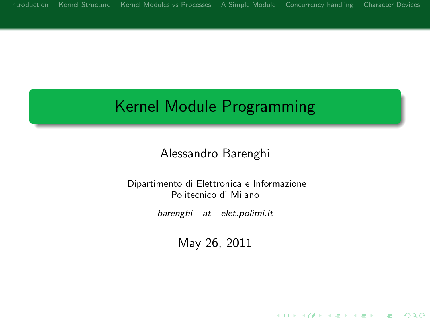# Kernel Module Programming

### Alessandro Barenghi

#### Dipartimento di Elettronica e Informazione Politecnico di Milano

barenghi - at - elet.polimi.it

May 26, 2011

**KORK STRATER STRACK**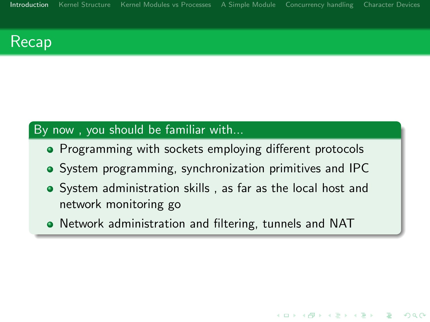## Recap

### By now , you should be familiar with...

- Programming with sockets employing different protocols
- System programming, synchronization primitives and IPC
- System administration skills , as far as the local host and network monitoring go

**KORK EX KEY KEY YOUR** 

<span id="page-1-0"></span>Network administration and filtering, tunnels and NAT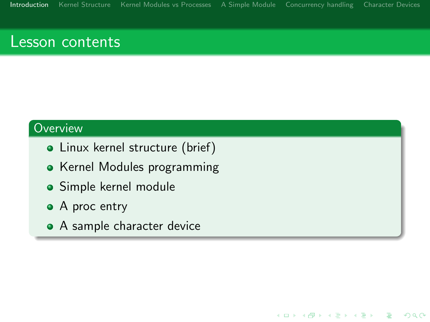K ロ > K @ > K 할 > K 할 > → 할 → ⊙ Q @

### Lesson contents

### **Overview**

- Linux kernel structure (brief)
- Kernel Modules programming
- Simple kernel module
- A proc entry
- A sample character device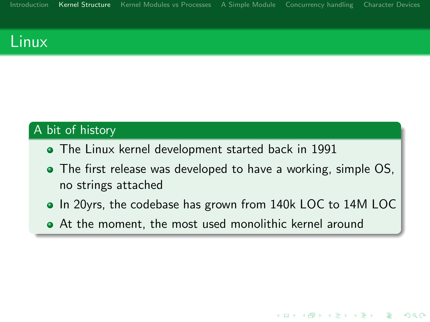## Linux

### A bit of history

- The Linux kernel development started back in 1991
- The first release was developed to have a working, simple OS, no strings attached
- In 20yrs, the codebase has grown from 140k LOC to 14M LOC

**KORK STRAIN A BAR SHOP** 

<span id="page-3-0"></span>At the moment, the most used monolithic kernel around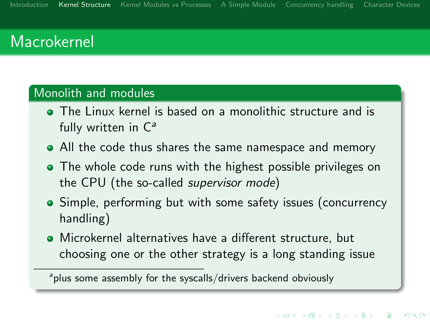## Macrokernel

#### Monolith and modules

- The Linux kernel is based on a monolithic structure and is fully written in  $C^a$
- All the code thus shares the same namespace and memory
- The whole code runs with the highest possible privileges on the CPU (the so-called supervisor mode)
- Simple, performing but with some safety issues (concurrency handling)
- Microkernel alternatives have a different structure, but choosing one or the other strategy is a long standing issue

<sup>&</sup>lt;sup>a</sup>plus some assembly for the syscalls/drivers backend obviously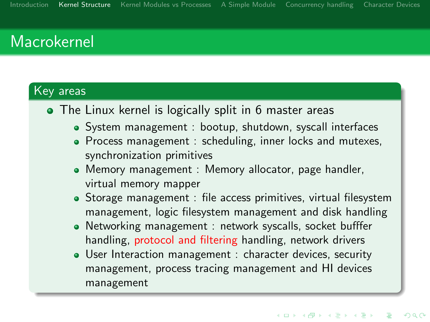## Macrokernel

### Key areas

- The Linux kernel is logically split in 6 master areas
	- System management : bootup, shutdown, syscall interfaces
	- Process management : scheduling, inner locks and mutexes, synchronization primitives
	- Memory management : Memory allocator, page handler, virtual memory mapper
	- Storage management : file access primitives, virtual filesystem management, logic filesystem management and disk handling
	- Networking management : network syscalls, socket bufffer handling, protocol and filtering handling, network drivers
	- User Interaction management : character devices, security management, process tracing management and HI devices management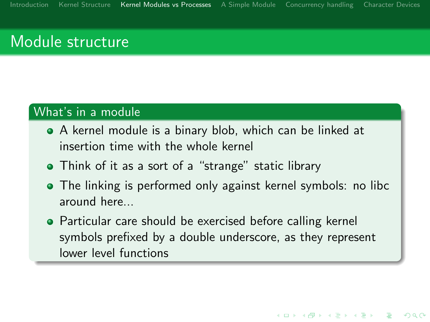## Module structure

### What's in a module

- A kernel module is a binary blob, which can be linked at insertion time with the whole kernel
- Think of it as a sort of a "strange" static library
- The linking is performed only against kernel symbols: no libc around here...
- <span id="page-6-0"></span>**•** Particular care should be exercised before calling kernel symbols prefixed by a double underscore, as they represent lower level functions

**KORK STRAIN A BAR SHOP**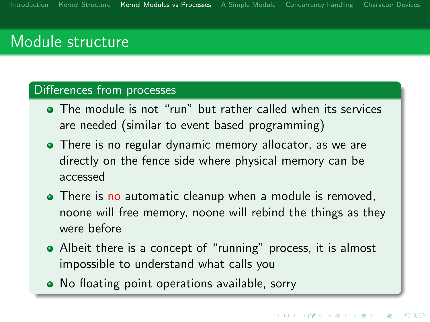## Module structure

#### Differences from processes

- The module is not "run" but rather called when its services are needed (similar to event based programming)
- There is no regular dynamic memory allocator, as we are directly on the fence side where physical memory can be accessed
- There is no automatic cleanup when a module is removed, noone will free memory, noone will rebind the things as they were before
- Albeit there is a concept of "running" process, it is almost impossible to understand what calls you
- No floating point operations available, sorry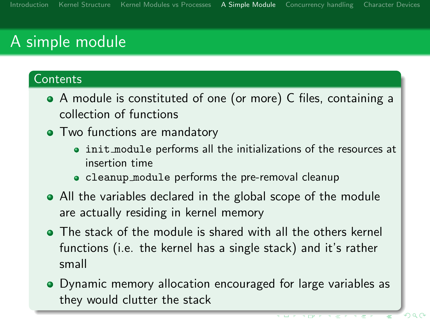#### **Contents**

- A module is constituted of one (or more) C files, containing a collection of functions
- Two functions are mandatory
	- init module performs all the initializations of the resources at insertion time
	- cleanup module performs the pre-removal cleanup
- All the variables declared in the global scope of the module are actually residing in kernel memory
- The stack of the module is shared with all the others kernel functions (i.e. the kernel has a single stack) and it's rather small
- <span id="page-8-0"></span>Dynamic memory allocation encouraged for large variables as they would clutter the stack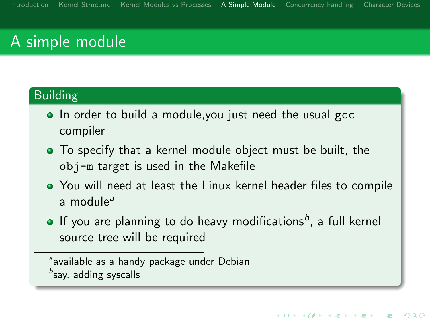### Building

- In order to build a module, you just need the usual gcc compiler
- To specify that a kernel module object must be built, the obj-m target is used in the Makefile
- You will need at least the Linux kernel header files to compile a module<sup>a</sup>
- If you are planning to do heavy modifications $^b$ , a full kernel source tree will be required

available as a handy package under Debian bsay, adding syscalls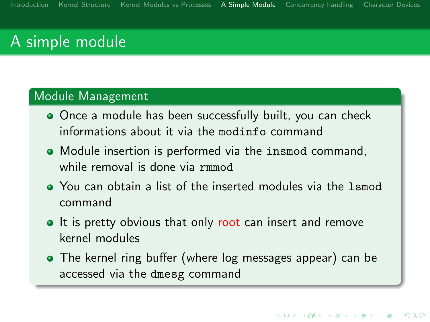#### Module Management

- Once a module has been successfully built, you can check informations about it via the modinfo command
- Module insertion is performed via the insmod command, while removal is done via rmmod
- You can obtain a list of the inserted modules via the lsmod command
- It is pretty obvious that only root can insert and remove kernel modules
- The kernel ring buffer (where log messages appear) can be accessed via the dmesg command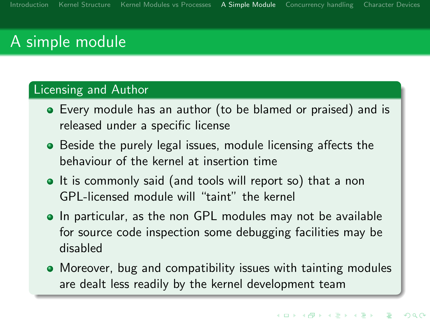#### Licensing and Author

- Every module has an author (to be blamed or praised) and is released under a specific license
- **•** Beside the purely legal issues, module licensing affects the behaviour of the kernel at insertion time
- It is commonly said (and tools will report so) that a non GPL-licensed module will "taint" the kernel
- In particular, as the non GPL modules may not be available for source code inspection some debugging facilities may be disabled
- Moreover, bug and compatibility issues with tainting modules are dealt less readily by the kernel development team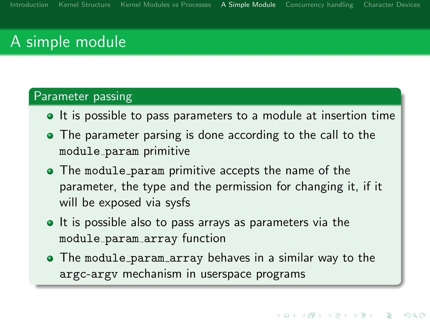#### Parameter passing

- It is possible to pass parameters to a module at insertion time
- The parameter parsing is done according to the call to the module param primitive
- The module param primitive accepts the name of the parameter, the type and the permission for changing it, if it will be exposed via sysfs
- It is possible also to pass arrays as parameters via the module param array function
- The module param array behaves in a similar way to the argc-argv mechanism in userspace programs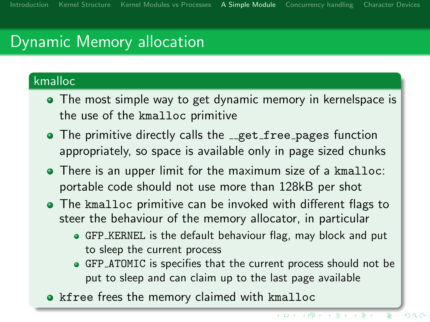# Dynamic Memory allocation

### kmalloc

- The most simple way to get dynamic memory in kernelspace is the use of the kmalloc primitive
- The primitive directly calls the <sub>-get free pages function</sub> appropriately, so space is available only in page sized chunks
- There is an upper limit for the maximum size of a kmalloc: portable code should not use more than 128kB per shot
- The kmalloc primitive can be invoked with different flags to steer the behaviour of the memory allocator, in particular
	- GFP KERNEL is the default behaviour flag, may block and put to sleep the current process
	- GFP ATOMIC is specifies that the current process should not be put to sleep and can claim up to the last page available
- kfree frees the memory claimed with kmalloc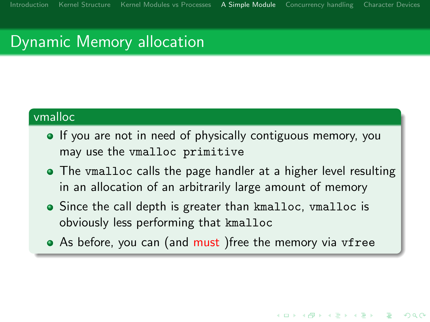# Dynamic Memory allocation

#### vmalloc

- **If** you are not in need of physically contiguous memory, you may use the vmalloc primitive
- The vmalloc calls the page handler at a higher level resulting in an allocation of an arbitrarily large amount of memory
- Since the call depth is greater than kmalloc, vmalloc is obviously less performing that kmalloc
- As before, you can (and must) free the memory via vfree

**KORK EX KEY KEY YOUR**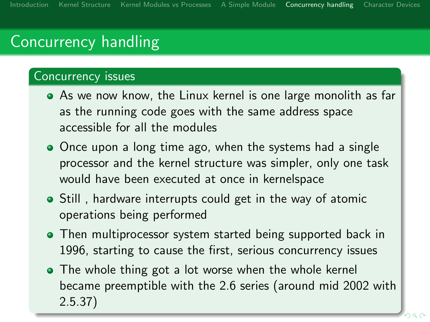# Concurrency handling

#### Concurrency issues

- As we now know, the Linux kernel is one large monolith as far as the running code goes with the same address space accessible for all the modules
- Once upon a long time ago, when the systems had a single processor and the kernel structure was simpler, only one task would have been executed at once in kernelspace
- Still, hardware interrupts could get in the way of atomic operations being performed
- Then multiprocessor system started being supported back in 1996, starting to cause the first, serious concurrency issues
- <span id="page-15-0"></span>• The whole thing got a lot worse when the whole kernel became preemptible with the 2.6 series (around mid 2002 with 2.5.37)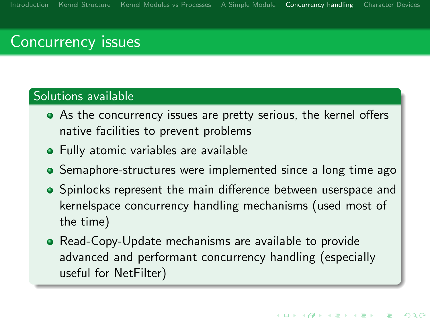## Concurrency issues

#### Solutions available

- As the concurrency issues are pretty serious, the kernel offers native facilities to prevent problems
- **•** Fully atomic variables are available
- Semaphore-structures were implemented since a long time ago
- Spinlocks represent the main difference between userspace and kernelspace concurrency handling mechanisms (used most of the time)
- Read-Copy-Update mechanisms are available to provide advanced and performant concurrency handling (especially useful for NetFilter)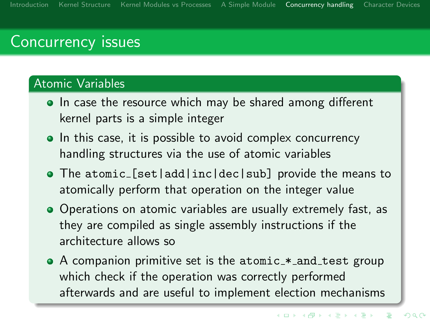## Concurrency issues

#### Atomic Variables

- In case the resource which may be shared among different kernel parts is a simple integer
- In this case, it is possible to avoid complex concurrency handling structures via the use of atomic variables
- The atomic [set|add|inc|dec|sub] provide the means to atomically perform that operation on the integer value
- Operations on atomic variables are usually extremely fast, as they are compiled as single assembly instructions if the architecture allows so
- A companion primitive set is the atomic\_\*\_and\_test group which check if the operation was correctly performed afterwards and are useful to implement election mechanisms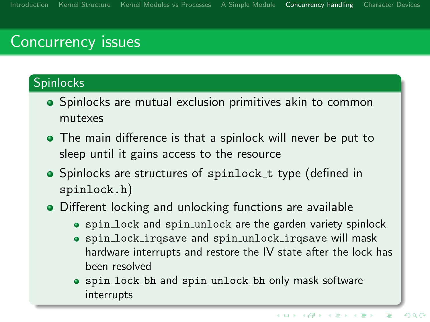## Concurrency issues

### **Spinlocks**

- **•** Spinlocks are mutual exclusion primitives akin to common mutexes
- The main difference is that a spinlock will never be put to sleep until it gains access to the resource
- Spinlocks are structures of spinlock\_t type (defined in spinlock.h)
- Different locking and unlocking functions are available
	- spin lock and spin unlock are the garden variety spinlock
	- spin lock irqsave and spin unlock irqsave will mask hardware interrupts and restore the IV state after the lock has been resolved
	- spin lock bh and spin unlock bh only mask software interrupts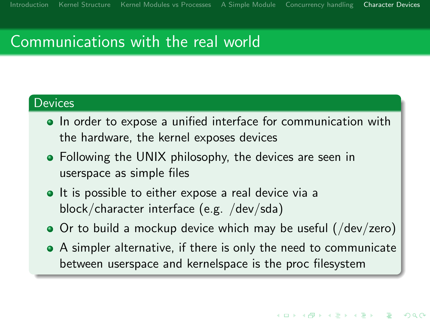#### **Devices**

- In order to expose a unified interface for communication with the hardware, the kernel exposes devices
- Following the UNIX philosophy, the devices are seen in userspace as simple files
- It is possible to either expose a real device via a block/character interface (e.g. /dev/sda)
- Or to build a mockup device which may be useful (/dev/zero)
- <span id="page-19-0"></span>A simpler alternative, if there is only the need to communicate between userspace and kernelspace is the proc filesystem

**KORK STRAIN A BAR SHOP**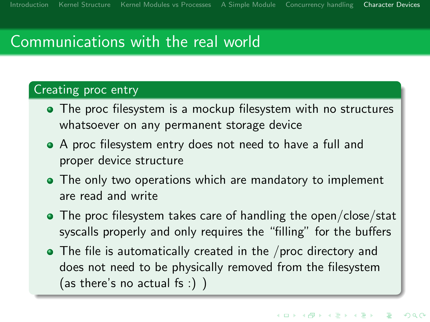### Creating proc entry

- The proc filesystem is a mockup filesystem with no structures whatsoever on any permanent storage device
- A proc filesystem entry does not need to have a full and proper device structure
- The only two operations which are mandatory to implement are read and write
- The proc filesystem takes care of handling the open/close/stat syscalls properly and only requires the "filling" for the buffers
- The file is automatically created in the /proc directory and does not need to be physically removed from the filesystem (as there's no actual fs :) )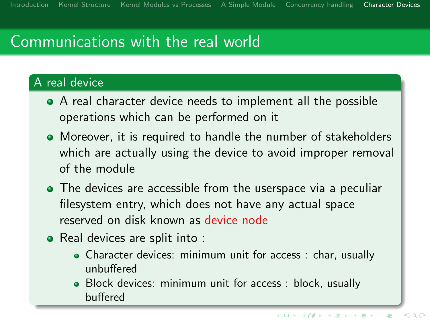### A real device

- A real character device needs to implement all the possible operations which can be performed on it
- Moreover, it is required to handle the number of stakeholders which are actually using the device to avoid improper removal of the module
- The devices are accessible from the userspace via a peculiar filesystem entry, which does not have any actual space reserved on disk known as device node
- Real devices are split into :
	- Character devices: minimum unit for access : char, usually unbuffered
	- Block devices: minimum unit for access : block, usually buffered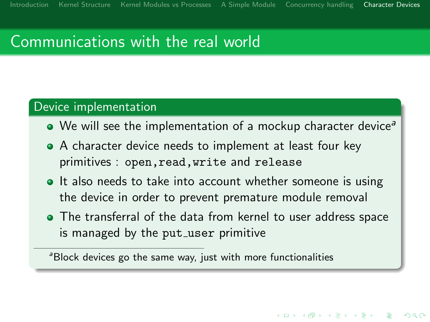#### Device implementation

- $\bullet$  We will see the implementation of a mockup character device<sup>a</sup>
- A character device needs to implement at least four key primitives : open,read,write and release
- It also needs to take into account whether someone is using the device in order to prevent premature module removal
- The transferral of the data from kernel to user address space is managed by the put\_user primitive

**KORK EX KEY KEY YOUR** 

<sup>a</sup>Block devices go the same way, just with more functionalities